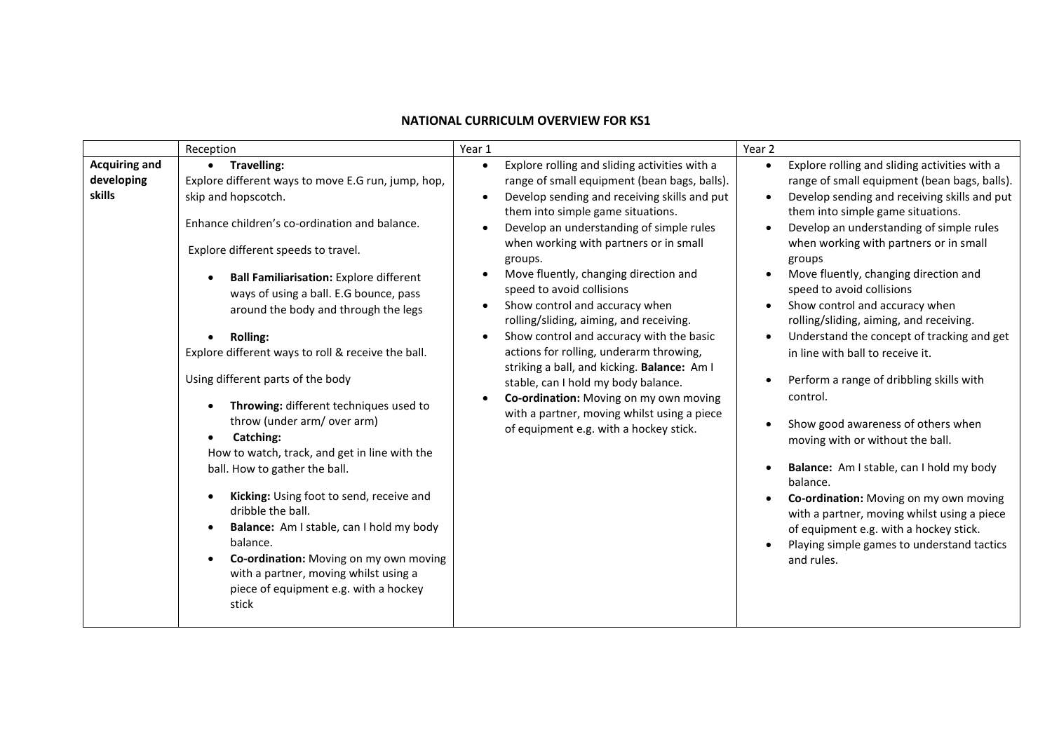## **NATIONAL CURRICULM OVERVIEW FOR KS1**

|                                              | Reception                                                                                                                                                                                                                                                                                                                                                                                                                                                                                                                                                                                                                                                                                                                                                                                                                                                                                            | Year 1                                                                                                                                                                                                                                                                                                                                                                                                                                                                                                                                                                                                                                                                                                                                                              | Year 2                                                                                                                                                                                                                                                                                                                                                                                                                                                                                                                                                                                                                                                                                                                                                                                                                                                                                                                                                                                                                   |
|----------------------------------------------|------------------------------------------------------------------------------------------------------------------------------------------------------------------------------------------------------------------------------------------------------------------------------------------------------------------------------------------------------------------------------------------------------------------------------------------------------------------------------------------------------------------------------------------------------------------------------------------------------------------------------------------------------------------------------------------------------------------------------------------------------------------------------------------------------------------------------------------------------------------------------------------------------|---------------------------------------------------------------------------------------------------------------------------------------------------------------------------------------------------------------------------------------------------------------------------------------------------------------------------------------------------------------------------------------------------------------------------------------------------------------------------------------------------------------------------------------------------------------------------------------------------------------------------------------------------------------------------------------------------------------------------------------------------------------------|--------------------------------------------------------------------------------------------------------------------------------------------------------------------------------------------------------------------------------------------------------------------------------------------------------------------------------------------------------------------------------------------------------------------------------------------------------------------------------------------------------------------------------------------------------------------------------------------------------------------------------------------------------------------------------------------------------------------------------------------------------------------------------------------------------------------------------------------------------------------------------------------------------------------------------------------------------------------------------------------------------------------------|
| <b>Acquiring and</b><br>developing<br>skills | • Travelling:<br>Explore different ways to move E.G run, jump, hop,<br>skip and hopscotch.<br>Enhance children's co-ordination and balance.<br>Explore different speeds to travel.<br><b>Ball Familiarisation: Explore different</b><br>ways of using a ball. E.G bounce, pass<br>around the body and through the legs<br><b>Rolling:</b><br>Explore different ways to roll & receive the ball.<br>Using different parts of the body<br>Throwing: different techniques used to<br>throw (under arm/ over arm)<br>Catching:<br>How to watch, track, and get in line with the<br>ball. How to gather the ball.<br>Kicking: Using foot to send, receive and<br>dribble the ball.<br>Balance: Am I stable, can I hold my body<br>$\bullet$<br>balance.<br>Co-ordination: Moving on my own moving<br>$\bullet$<br>with a partner, moving whilst using a<br>piece of equipment e.g. with a hockey<br>stick | Explore rolling and sliding activities with a<br>$\bullet$<br>range of small equipment (bean bags, balls).<br>Develop sending and receiving skills and put<br>them into simple game situations.<br>Develop an understanding of simple rules<br>when working with partners or in small<br>groups.<br>Move fluently, changing direction and<br>speed to avoid collisions<br>Show control and accuracy when<br>rolling/sliding, aiming, and receiving.<br>Show control and accuracy with the basic<br>actions for rolling, underarm throwing,<br>striking a ball, and kicking. Balance: Am I<br>stable, can I hold my body balance.<br>Co-ordination: Moving on my own moving<br>with a partner, moving whilst using a piece<br>of equipment e.g. with a hockey stick. | Explore rolling and sliding activities with a<br>$\bullet$<br>range of small equipment (bean bags, balls).<br>Develop sending and receiving skills and put<br>$\bullet$<br>them into simple game situations.<br>Develop an understanding of simple rules<br>$\bullet$<br>when working with partners or in small<br>groups<br>Move fluently, changing direction and<br>speed to avoid collisions<br>Show control and accuracy when<br>$\bullet$<br>rolling/sliding, aiming, and receiving.<br>Understand the concept of tracking and get<br>$\bullet$<br>in line with ball to receive it.<br>Perform a range of dribbling skills with<br>$\bullet$<br>control.<br>Show good awareness of others when<br>$\bullet$<br>moving with or without the ball.<br>Balance: Am I stable, can I hold my body<br>$\bullet$<br>balance.<br>Co-ordination: Moving on my own moving<br>with a partner, moving whilst using a piece<br>of equipment e.g. with a hockey stick.<br>Playing simple games to understand tactics<br>and rules. |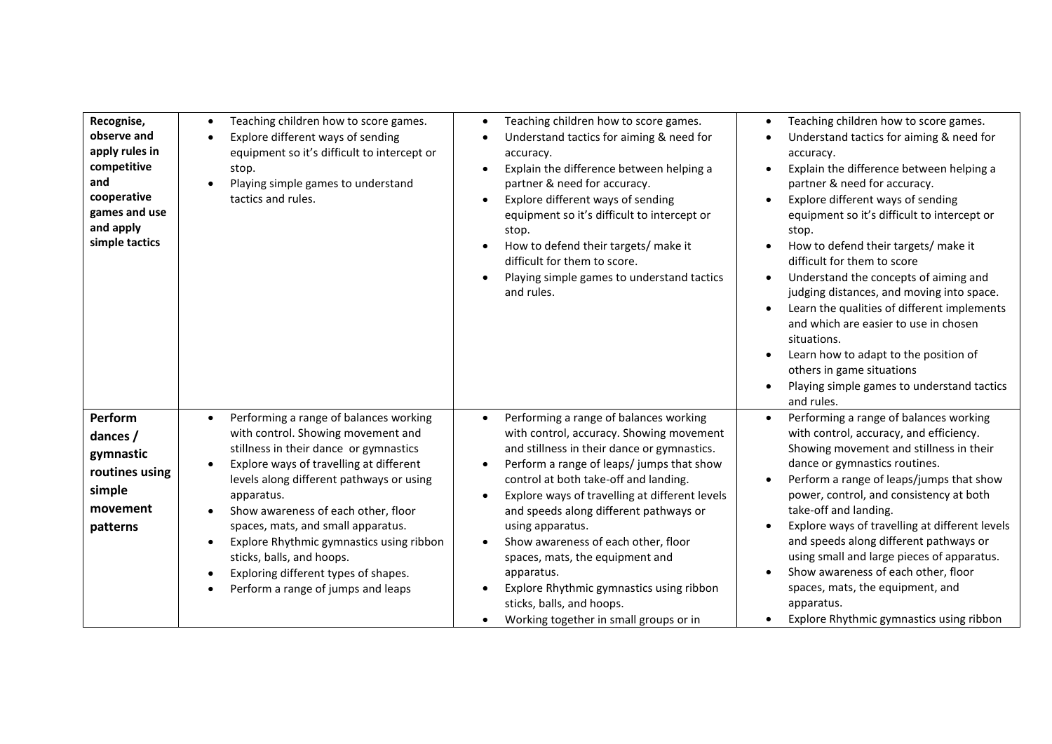| Recognise,<br>observe and<br>apply rules in<br>competitive<br>and<br>cooperative<br>games and use<br>and apply<br>simple tactics | Teaching children how to score games.<br>$\bullet$<br>Explore different ways of sending<br>$\bullet$<br>equipment so it's difficult to intercept or<br>stop.<br>Playing simple games to understand<br>tactics and rules.                                                                                                                                                                                                                                                                               | Teaching children how to score games.<br>٠<br>Understand tactics for aiming & need for<br>accuracy.<br>Explain the difference between helping a<br>$\bullet$<br>partner & need for accuracy.<br>Explore different ways of sending<br>$\bullet$<br>equipment so it's difficult to intercept or<br>stop.<br>How to defend their targets/ make it<br>difficult for them to score.<br>Playing simple games to understand tactics<br>and rules.                                                                                                                                                            | Teaching children how to score games.<br>Understand tactics for aiming & need for<br>accuracy.<br>Explain the difference between helping a<br>partner & need for accuracy.<br>Explore different ways of sending<br>equipment so it's difficult to intercept or<br>stop.<br>How to defend their targets/ make it<br>difficult for them to score<br>Understand the concepts of aiming and<br>judging distances, and moving into space.<br>Learn the qualities of different implements<br>and which are easier to use in chosen<br>situations.<br>Learn how to adapt to the position of<br>others in game situations<br>Playing simple games to understand tactics<br>and rules. |
|----------------------------------------------------------------------------------------------------------------------------------|--------------------------------------------------------------------------------------------------------------------------------------------------------------------------------------------------------------------------------------------------------------------------------------------------------------------------------------------------------------------------------------------------------------------------------------------------------------------------------------------------------|-------------------------------------------------------------------------------------------------------------------------------------------------------------------------------------------------------------------------------------------------------------------------------------------------------------------------------------------------------------------------------------------------------------------------------------------------------------------------------------------------------------------------------------------------------------------------------------------------------|-------------------------------------------------------------------------------------------------------------------------------------------------------------------------------------------------------------------------------------------------------------------------------------------------------------------------------------------------------------------------------------------------------------------------------------------------------------------------------------------------------------------------------------------------------------------------------------------------------------------------------------------------------------------------------|
| Perform<br>dances /<br>gymnastic<br>routines using<br>simple<br>movement<br>patterns                                             | Performing a range of balances working<br>$\bullet$<br>with control. Showing movement and<br>stillness in their dance or gymnastics<br>Explore ways of travelling at different<br>levels along different pathways or using<br>apparatus.<br>Show awareness of each other, floor<br>spaces, mats, and small apparatus.<br>Explore Rhythmic gymnastics using ribbon<br>$\bullet$<br>sticks, balls, and hoops.<br>Exploring different types of shapes.<br>$\bullet$<br>Perform a range of jumps and leaps | Performing a range of balances working<br>$\bullet$<br>with control, accuracy. Showing movement<br>and stillness in their dance or gymnastics.<br>Perform a range of leaps/jumps that show<br>$\bullet$<br>control at both take-off and landing.<br>Explore ways of travelling at different levels<br>$\bullet$<br>and speeds along different pathways or<br>using apparatus.<br>Show awareness of each other, floor<br>$\bullet$<br>spaces, mats, the equipment and<br>apparatus.<br>Explore Rhythmic gymnastics using ribbon<br>sticks, balls, and hoops.<br>Working together in small groups or in | Performing a range of balances working<br>with control, accuracy, and efficiency.<br>Showing movement and stillness in their<br>dance or gymnastics routines.<br>Perform a range of leaps/jumps that show<br>power, control, and consistency at both<br>take-off and landing.<br>Explore ways of travelling at different levels<br>and speeds along different pathways or<br>using small and large pieces of apparatus.<br>Show awareness of each other, floor<br>spaces, mats, the equipment, and<br>apparatus.<br>Explore Rhythmic gymnastics using ribbon                                                                                                                  |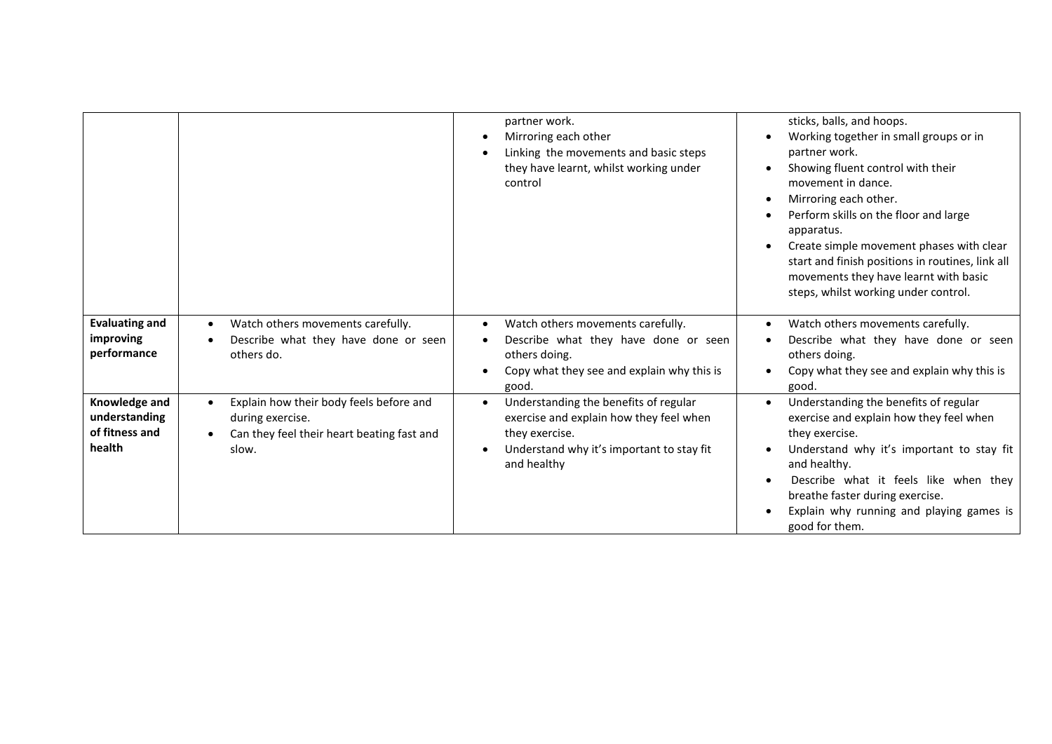|                                                            |                                                                                                                                              | partner work.<br>Mirroring each other<br>Linking the movements and basic steps<br>they have learnt, whilst working under<br>control                            | sticks, balls, and hoops.<br>Working together in small groups or in<br>partner work.<br>Showing fluent control with their<br>movement in dance.<br>Mirroring each other.<br>Perform skills on the floor and large<br>apparatus.<br>Create simple movement phases with clear<br>start and finish positions in routines, link all<br>movements they have learnt with basic<br>steps, whilst working under control. |
|------------------------------------------------------------|----------------------------------------------------------------------------------------------------------------------------------------------|----------------------------------------------------------------------------------------------------------------------------------------------------------------|------------------------------------------------------------------------------------------------------------------------------------------------------------------------------------------------------------------------------------------------------------------------------------------------------------------------------------------------------------------------------------------------------------------|
| <b>Evaluating and</b><br>improving<br>performance          | Watch others movements carefully.<br>$\bullet$<br>Describe what they have done or seen<br>others do.                                         | Watch others movements carefully.<br>Describe what they have done or seen<br>others doing.<br>Copy what they see and explain why this is<br>good.              | Watch others movements carefully.<br>Describe what they have done or seen<br>others doing.<br>Copy what they see and explain why this is<br>good.                                                                                                                                                                                                                                                                |
| Knowledge and<br>understanding<br>of fitness and<br>health | Explain how their body feels before and<br>$\bullet$<br>during exercise.<br>Can they feel their heart beating fast and<br>$\bullet$<br>slow. | Understanding the benefits of regular<br>exercise and explain how they feel when<br>they exercise.<br>Understand why it's important to stay fit<br>and healthy | Understanding the benefits of regular<br>exercise and explain how they feel when<br>they exercise.<br>Understand why it's important to stay fit<br>and healthy.<br>Describe what it feels like when they<br>breathe faster during exercise.<br>Explain why running and playing games is<br>good for them.                                                                                                        |